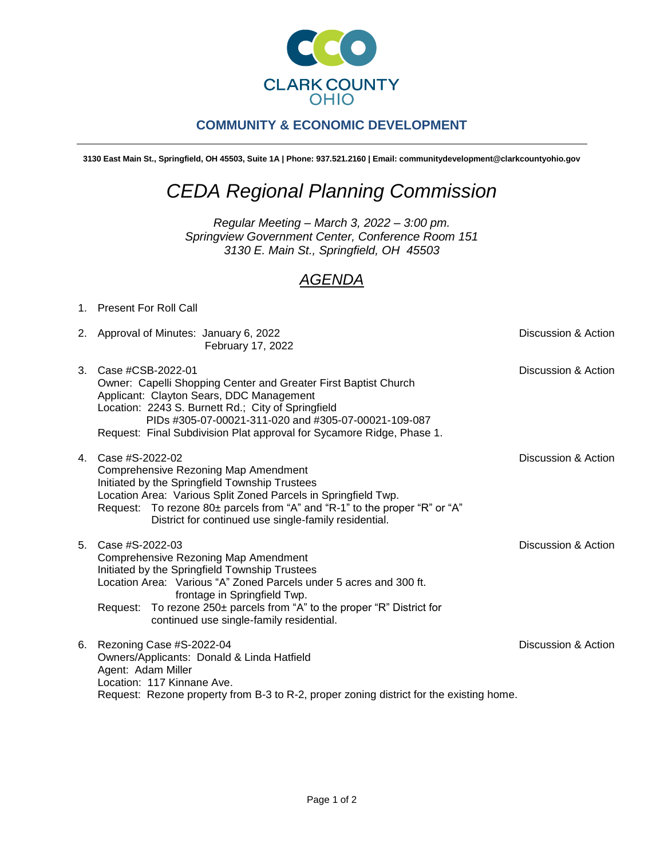

## **COMMUNITY & ECONOMIC DEVELOPMENT**

**3130 East Main St., Springfield, OH 45503, Suite 1A | Phone: 937.521.2160 | Email: communitydevelopment@clarkcountyohio.gov**

## *CEDA Regional Planning Commission*

*Regular Meeting – March 3, 2022 – 3:00 pm. Springview Government Center, Conference Room 151 3130 E. Main St., Springfield, OH 45503*

## *AGENDA*

## 1. Present For Roll Call

2. Approval of Minutes: January 6, 2022 **Discussion & Action** February 17, 2022

|  | 3. Case #CSB-2022-01                                                  | Discussion & Action |
|--|-----------------------------------------------------------------------|---------------------|
|  | Owner: Capelli Shopping Center and Greater First Baptist Church       |                     |
|  | Applicant: Clayton Sears, DDC Management                              |                     |
|  | Location: 2243 S. Burnett Rd.; City of Springfield                    |                     |
|  | PIDs #305-07-00021-311-020 and #305-07-00021-109-087                  |                     |
|  | Request: Final Subdivision Plat approval for Sycamore Ridge, Phase 1. |                     |
|  |                                                                       |                     |

- 4. Case #S-2022-02 Discussion & Action Comprehensive Rezoning Map Amendment Initiated by the Springfield Township Trustees Location Area: Various Split Zoned Parcels in Springfield Twp. Request: To rezone 80± parcels from "A" and "R-1" to the proper "R" or "A" District for continued use single-family residential.
- 5. Case #S-2022-03 Discussion & Action Comprehensive Rezoning Map Amendment Initiated by the Springfield Township Trustees Location Area: Various "A" Zoned Parcels under 5 acres and 300 ft. frontage in Springfield Twp. Request: To rezone 250± parcels from "A" to the proper "R" District for continued use single-family residential. 6. Rezoning Case #S-2022-04 Discussion & Action
- Owners/Applicants: Donald & Linda Hatfield Agent: Adam Miller Location: 117 Kinnane Ave. Request: Rezone property from B-3 to R-2, proper zoning district for the existing home.